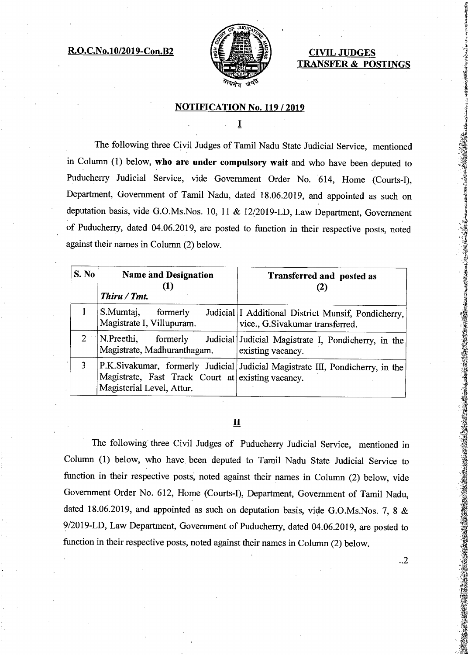### **R.O.C.No.10/2019-Con.B2 CIVIL JUDGES**



# **TRANSFER & POSTINGS**

#### **NOTIFICATION No. 119 / 2019**

Ī

The following three Civil Judges of Tamil Nadu State Judicial Service, mentioned in Column (1) below, **who are under compulsory wait** and who have been deputed to Puducherry Judicial Service, vide Government Order No. 614, Home (Courts-I), Department, Government of Tamil Nadu, dated 18.06.2019, and appointed as such on deputation basis, vide G.O.Ms.Nos. 10, 11 & 12/2019-LD, Law Department, Government of Puducherry, dated 04.06.2019, are posted to function in their respective posts, noted against their names in Column (2) below.

| <b>S. No</b>                | <b>Name and Designation</b><br>Thiru / Tmt.                                    | <b>Transferred and posted as</b>                                                         |
|-----------------------------|--------------------------------------------------------------------------------|------------------------------------------------------------------------------------------|
|                             | S.Mumtaj,<br>formerly<br>Magistrate I, Villupuram.                             | Judicial   I Additional District Munsif, Pondicherry,<br>vice., G.Sivakumar transferred. |
| $\mathcal{D}_{\mathcal{L}}$ | N.Preethi,<br>formerly<br>Magistrate, Madhuranthagam.                          | Judicial Judicial Magistrate I, Pondicherry, in the<br>existing vacancy.                 |
| 3                           | Magistrate, Fast Track Court at existing vacancy.<br>Magisterial Level, Attur. | P.K.Sivakumar, formerly Judicial Judicial Magistrate III, Pondicherry, in the            |

## **II**

The following three Civil Judges of Puducherry Judicial Service, mentioned in Column (1) below, who have, been deputed to Tamil Nadu State Judicial Service to function in their respective posts; noted against their names in Column (2) below, vide Government Order No. 612, Home (Courts-I), Department, Government of Tamil Nadu, dated 18.06.2019, and appointed as such on deputation basis, vide G.O.Ms.Nos. 7, 8 & 9/2019-LD, Law Department, Government of Puducherry, dated 04.06.2019, are posted to function in their respective posts, noted against their names in Column (2) below.

..2